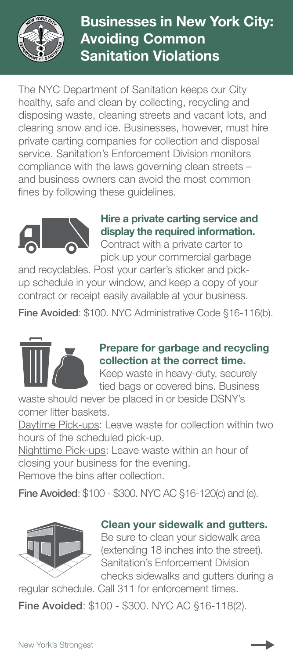

# Businesses in New York City: Avoiding Common Sanitation Violations

The NYC Department of Sanitation keeps our City healthy, safe and clean by collecting, recycling and disposing waste, cleaning streets and vacant lots, and clearing snow and ice. Businesses, however, must hire private carting companies for collection and disposal service. Sanitation's Enforcement Division monitors compliance with the laws governing clean streets – and business owners can avoid the most common fines by following these guidelines.



#### Hire a private carting service and display the required information. Contract with a private carter to

pick up your commercial garbage

and recyclables. Post your carter's sticker and pickup schedule in your window, and keep a copy of your contract or receipt easily available at your business.

Fine Avoided: \$100. NYC Administrative Code §16-116(b).



## Prepare for garbage and recycling collection at the correct time.

Keep waste in heavy-duty, securely tied bags or covered bins. Business

waste should never be placed in or beside DSNY's corner litter baskets.

Daytime Pick-ups: Leave waste for collection within two hours of the scheduled pick-up.

Nighttime Pick-ups: Leave waste within an hour of closing your business for the evening.

Remove the bins after collection.

Fine Avoided: \$100 - \$300. NYC AC §16-120(c) and (e).



#### Clean your sidewalk and gutters.

Be sure to clean your sidewalk area (extending 18 inches into the street). Sanitation's Enforcement Division checks sidewalks and gutters during a

regular schedule. Call 311 for enforcement times.

Fine Avoided: \$100 - \$300. NYC AC §16-118(2).